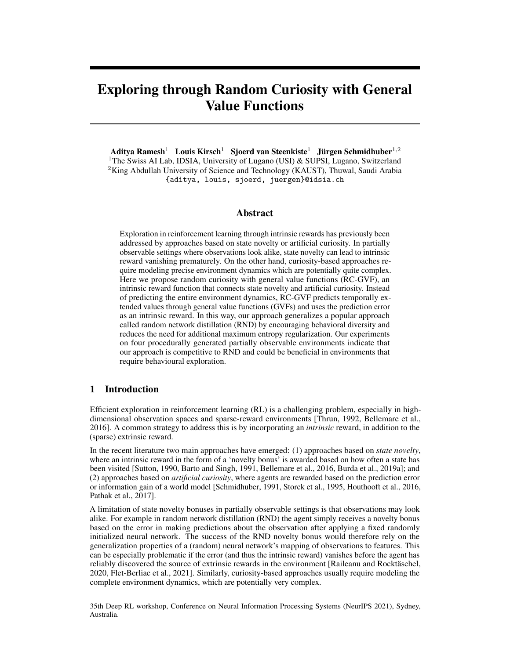# Exploring through Random Curiosity with General Value Functions

Aditya Ramesh<sup>1</sup> Louis Kirsch<sup>1</sup> Sjoerd van Steenkiste<sup>1</sup> Jürgen Schmidhuber<sup>1,2</sup> <sup>1</sup>The Swiss AI Lab, IDSIA, University of Lugano (USI)  $\&$  SUPSI, Lugano, Switzerland <sup>2</sup>King Abdullah University of Science and Technology (KAUST), Thuwal, Saudi Arabia {aditya, louis, sjoerd, juergen}@idsia.ch

## Abstract

Exploration in reinforcement learning through intrinsic rewards has previously been addressed by approaches based on state novelty or artificial curiosity. In partially observable settings where observations look alike, state novelty can lead to intrinsic reward vanishing prematurely. On the other hand, curiosity-based approaches require modeling precise environment dynamics which are potentially quite complex. Here we propose random curiosity with general value functions (RC-GVF), an intrinsic reward function that connects state novelty and artificial curiosity. Instead of predicting the entire environment dynamics, RC-GVF predicts temporally extended values through general value functions (GVFs) and uses the prediction error as an intrinsic reward. In this way, our approach generalizes a popular approach called random network distillation (RND) by encouraging behavioral diversity and reduces the need for additional maximum entropy regularization. Our experiments on four procedurally generated partially observable environments indicate that our approach is competitive to RND and could be beneficial in environments that require behavioural exploration.

# 1 Introduction

Efficient exploration in reinforcement learning (RL) is a challenging problem, especially in highdimensional observation spaces and sparse-reward environments [\[Thrun, 1992,](#page-6-0) [Bellemare et al.,](#page-6-1) [2016\]](#page-6-1). A common strategy to address this is by incorporating an *intrinsic* reward, in addition to the (sparse) extrinsic reward.

In the recent literature two main approaches have emerged: (1) approaches based on *state novelty*, where an intrinsic reward in the form of a 'novelty bonus' is awarded based on how often a state has been visited [\[Sutton, 1990,](#page-6-2) [Barto and Singh, 1991,](#page-6-3) [Bellemare et al., 2016,](#page-6-1) [Burda et al., 2019a\]](#page-6-4); and (2) approaches based on *artificial curiosity*, where agents are rewarded based on the prediction error or information gain of a world model [\[Schmidhuber, 1991,](#page-6-5) [Storck et al., 1995,](#page-6-6) [Houthooft et al., 2016,](#page-6-7) [Pathak et al., 2017\]](#page-6-8).

A limitation of state novelty bonuses in partially observable settings is that observations may look alike. For example in random network distillation (RND) the agent simply receives a novelty bonus based on the error in making predictions about the observation after applying a fixed randomly initialized neural network. The success of the RND novelty bonus would therefore rely on the generalization properties of a (random) neural network's mapping of observations to features. This can be especially problematic if the error (and thus the intrinsic reward) vanishes before the agent has reliably discovered the source of extrinsic rewards in the environment [\[Raileanu and Rocktäschel,](#page-6-9) [2020,](#page-6-9) [Flet-Berliac et al., 2021\]](#page-6-10). Similarly, curiosity-based approaches usually require modeling the complete environment dynamics, which are potentially very complex.

35th Deep RL workshop, Conference on Neural Information Processing Systems (NeurIPS 2021), Sydney, Australia.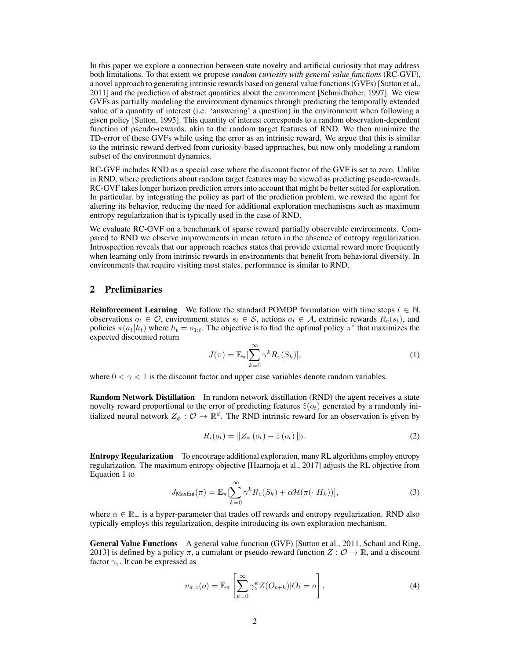In this paper we explore a connection between state novelty and artificial curiosity that may address both limitations. To that extent we propose *random curiosity with general value functions* (RC-GVF), a novel approach to generating intrinsic rewards based on general value functions (GVFs) [\[Sutton et al.,](#page-6-11) [2011\]](#page-6-11) and the prediction of abstract quantities about the environment [\[Schmidhuber, 1997\]](#page-6-12). We view GVFs as partially modeling the environment dynamics through predicting the temporally extended value of a quantity of interest (i.e. 'answering' a question) in the environment when following a given policy [\[Sutton, 1995\]](#page-6-13). This quantity of interest corresponds to a random observation-dependent function of pseudo-rewards, akin to the random target features of RND. We then minimize the TD-error of these GVFs while using the error as an intrinsic reward. We argue that this is similar to the intrinsic reward derived from curiosity-based approaches, but now only modeling a random subset of the environment dynamics.

RC-GVF includes RND as a special case where the discount factor of the GVF is set to zero. Unlike in RND, where predictions about random target features may be viewed as predicting pseudo-rewards, RC-GVF takes longer horizon prediction errors into account that might be better suited for exploration. In particular, by integrating the policy as part of the prediction problem, we reward the agent for altering its behavior, reducing the need for additional exploration mechanisms such as maximum entropy regularization that is typically used in the case of RND.

We evaluate RC-GVF on a benchmark of sparse reward partially observable environments. Compared to RND we observe improvements in mean return in the absence of entropy regularization. Introspection reveals that our approach reaches states that provide external reward more frequently when learning only from intrinsic rewards in environments that benefit from behavioral diversity. In environments that require visiting most states, performance is similar to RND.

## 2 Preliminaries

**Reinforcement Learning** We follow the standard POMDP formulation with time steps  $t \in \mathbb{N}$ , observations  $o_t \in \mathcal{O}$ , environment states  $s_t \in \mathcal{S}$ , actions  $a_t \in \mathcal{A}$ , extrinsic rewards  $R_e(s_t)$ , and policies  $\pi(a_t|h_t)$  where  $h_t = o_{1:t}$ . The objective is to find the optimal policy  $\pi^*$  that maximizes the expected discounted return

<span id="page-1-0"></span>
$$
J(\pi) = \mathbb{E}_{\pi} \left[ \sum_{k=0}^{\infty} \gamma^k R_e(S_k) \right],\tag{1}
$$

where  $0 < \gamma < 1$  is the discount factor and upper case variables denote random variables.

<span id="page-1-1"></span>**Random Network Distillation** In random network distillation (RND) the agent receives a state novelty reward proportional to the error of predicting features  $\hat{z}(o_t)$  generated by a randomly initialized neural network  $Z_{\phi}: \mathcal{O} \to \mathbb{R}^d$ . The RND intrinsic reward for an observation is given by

$$
R_i(o_t) = \|Z_{\phi}(o_t) - \hat{z}(o_t)\|_2.
$$
 (2)

**Entropy Regularization** To encourage additional exploration, many RL algorithms employ entropy regularization. The maximum entropy objective [\[Haarnoja et al., 2017\]](#page-6-14) adjusts the RL objective from [Equation 1](#page-1-0) to

$$
J_{\text{MaxEnt}}(\pi) = \mathbb{E}_{\pi} \left[ \sum_{k=0}^{\infty} \gamma^k R_e(S_k) + \alpha \mathcal{H}(\pi(\cdot | H_k)) \right],\tag{3}
$$

where  $\alpha \in \mathbb{R}_+$  is a hyper-parameter that trades off rewards and entropy regularization. RND also typically employs this regularization, despite introducing its own exploration mechanism.

General Value Functions A general value function (GVF) [\[Sutton et al., 2011,](#page-6-11) [Schaul and Ring,](#page-7-0) [2013\]](#page-7-0) is defined by a policy  $\pi$ , a cumulant or pseudo-reward function  $Z : \mathcal{O} \to \mathbb{R}$ , and a discount factor  $\gamma_z$ . It can be expressed as

$$
v_{\pi,z}(o) = \mathbb{E}_{\pi} \left[ \sum_{k=0}^{\infty} \gamma_z^k Z(O_{t+k}) | O_t = o \right].
$$
 (4)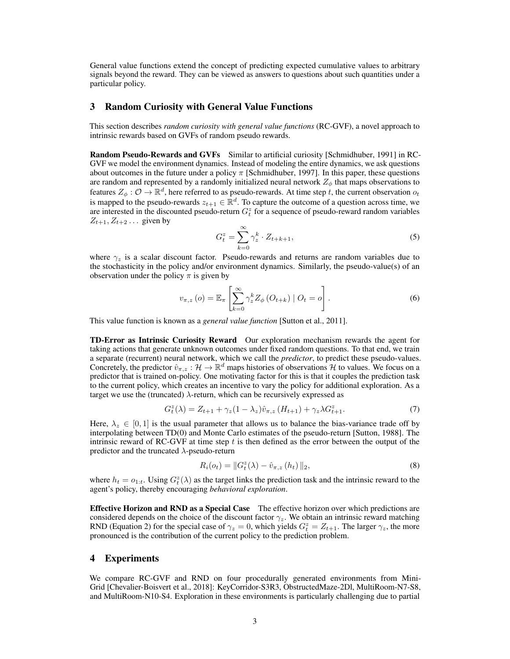General value functions extend the concept of predicting expected cumulative values to arbitrary signals beyond the reward. They can be viewed as answers to questions about such quantities under a particular policy.

#### 3 Random Curiosity with General Value Functions

This section describes *random curiosity with general value functions* (RC-GVF), a novel approach to intrinsic rewards based on GVFs of random pseudo rewards.

Random Pseudo-Rewards and GVFs Similar to artificial curiosity [\[Schmidhuber, 1991\]](#page-6-5) in RC-GVF we model the environment dynamics. Instead of modeling the entire dynamics, we ask questions about outcomes in the future under a policy  $\pi$  [\[Schmidhuber, 1997\]](#page-6-12). In this paper, these questions are random and represented by a randomly initialized neural network  $Z_{\phi}$  that maps observations to features  $Z_{\phi}: \mathcal{O} \to \mathbb{R}^d$ , here referred to as pseudo-rewards. At time step t, the current observation  $o_t$ is mapped to the pseudo-rewards  $z_{t+1} \in \mathbb{R}^d$ . To capture the outcome of a question across time, we are interested in the discounted pseudo-return  $G_t^z$  for a sequence of pseudo-reward random variables  $Z_{t+1}, Z_{t+2} \dots$  given by

$$
G_t^z = \sum_{k=0}^{\infty} \gamma_z^k \cdot Z_{t+k+1},\tag{5}
$$

where  $\gamma_z$  is a scalar discount factor. Pseudo-rewards and returns are random variables due to the stochasticity in the policy and/or environment dynamics. Similarly, the pseudo-value(s) of an observation under the policy  $\pi$  is given by

$$
v_{\pi,z}(o) = \mathbb{E}_{\pi} \left[ \sum_{k=0}^{\infty} \gamma_z^k Z_{\phi} (O_{t+k}) \mid O_t = o \right]. \tag{6}
$$

This value function is known as a *general value function* [\[Sutton et al., 2011\]](#page-6-11).

TD-Error as Intrinsic Curiosity Reward Our exploration mechanism rewards the agent for taking actions that generate unknown outcomes under fixed random questions. To that end, we train a separate (recurrent) neural network, which we call the *predictor*, to predict these pseudo-values. Concretely, the predictor  $\hat{v}_{\pi,z} : \mathcal{H} \to \mathbb{R}^d$  maps histories of observations  $\mathcal{H}$  to values. We focus on a predictor that is trained on-policy. One motivating factor for this is that it couples the prediction task to the current policy, which creates an incentive to vary the policy for additional exploration. As a target we use the (truncated)  $\lambda$ -return, which can be recursively expressed as

$$
G_t^z(\lambda) = Z_{t+1} + \gamma_z (1 - \lambda_z) \hat{v}_{\pi, z} (H_{t+1}) + \gamma_z \lambda G_{t+1}^z.
$$
 (7)

Here,  $\lambda_z \in [0, 1]$  is the usual parameter that allows us to balance the bias-variance trade off by interpolating between TD(0) and Monte Carlo estimates of the pseudo-return [\[Sutton, 1988\]](#page-7-1). The intrinsic reward of RC-GVF at time step  $t$  is then defined as the error between the output of the predictor and the truncated  $\lambda$ -pseudo-return

$$
R_i(o_t) = ||G_t^z(\lambda) - \hat{v}_{\pi,z}(h_t)||_2,
$$
\n(8)

where  $h_t = o_{1:t}$ . Using  $G_t^z(\lambda)$  as the target links the prediction task and the intrinsic reward to the agent's policy, thereby encouraging *behavioral exploration*.

Effective Horizon and RND as a Special Case The effective horizon over which predictions are considered depends on the choice of the discount factor  $\gamma_z$ . We obtain an intrinsic reward matching RND [\(Equation 2\)](#page-1-1) for the special case of  $\gamma_z = 0$ , which yields  $G_t^z = Z_{t+1}$ . The larger  $\gamma_z$ , the more pronounced is the contribution of the current policy to the prediction problem.

## 4 Experiments

We compare RC-GVF and RND on four procedurally generated environments from Mini-Grid [\[Chevalier-Boisvert et al., 2018\]](#page-7-2): KeyCorridor-S3R3, ObstructedMaze-2Dl, MultiRoom-N7-S8, and MultiRoom-N10-S4. Exploration in these environments is particularly challenging due to partial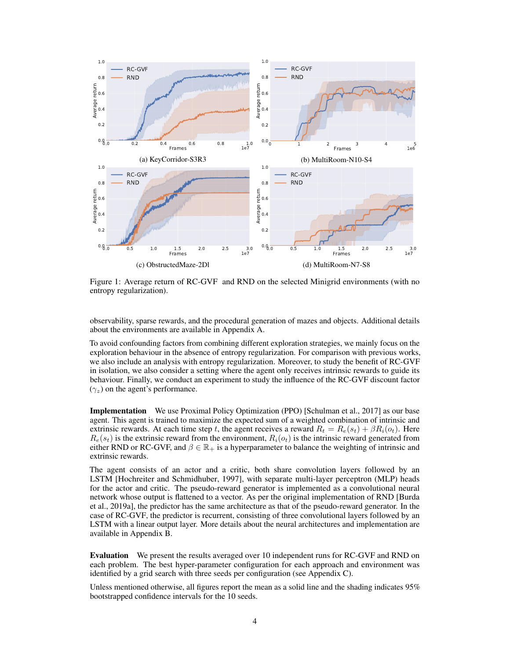<span id="page-3-0"></span>

Figure 1: Average return of RC-GVF and RND on the selected Minigrid environments (with no entropy regularization).

observability, sparse rewards, and the procedural generation of mazes and objects. Additional details about the environments are available in [Appendix A.](#page--1-0)

To avoid confounding factors from combining different exploration strategies, we mainly focus on the exploration behaviour in the absence of entropy regularization. For comparison with previous works, we also include an analysis with entropy regularization. Moreover, to study the benefit of RC-GVF in isolation, we also consider a setting where the agent only receives intrinsic rewards to guide its behaviour. Finally, we conduct an experiment to study the influence of the RC-GVF discount factor  $(\gamma_z)$  on the agent's performance.

Implementation We use Proximal Policy Optimization (PPO) [\[Schulman et al., 2017\]](#page-7-3) as our base agent. This agent is trained to maximize the expected sum of a weighted combination of intrinsic and extrinsic rewards. At each time step t, the agent receives a reward  $R_t = R_e(s_t) + \beta R_i(o_t)$ . Here  $R_e(s_t)$  is the extrinsic reward from the environment,  $R_i(o_t)$  is the intrinsic reward generated from either RND or RC-GVF, and  $\beta \in \mathbb{R}_+$  is a hyperparameter to balance the weighting of intrinsic and extrinsic rewards.

The agent consists of an actor and a critic, both share convolution layers followed by an LSTM [\[Hochreiter and Schmidhuber, 1997\]](#page-7-4), with separate multi-layer perceptron (MLP) heads for the actor and critic. The pseudo-reward generator is implemented as a convolutional neural network whose output is flattened to a vector. As per the original implementation of RND [\[Burda](#page-6-4) [et al., 2019a\]](#page-6-4), the predictor has the same architecture as that of the pseudo-reward generator. In the case of RC-GVF, the predictor is recurrent, consisting of three convolutional layers followed by an LSTM with a linear output layer. More details about the neural architectures and implementation are available in [Appendix B.](#page--1-1)

Evaluation We present the results averaged over 10 independent runs for RC-GVF and RND on each problem. The best hyper-parameter configuration for each approach and environment was identified by a grid search with three seeds per configuration (see [Appendix C\)](#page--1-0).

Unless mentioned otherwise, all figures report the mean as a solid line and the shading indicates 95% bootstrapped confidence intervals for the 10 seeds.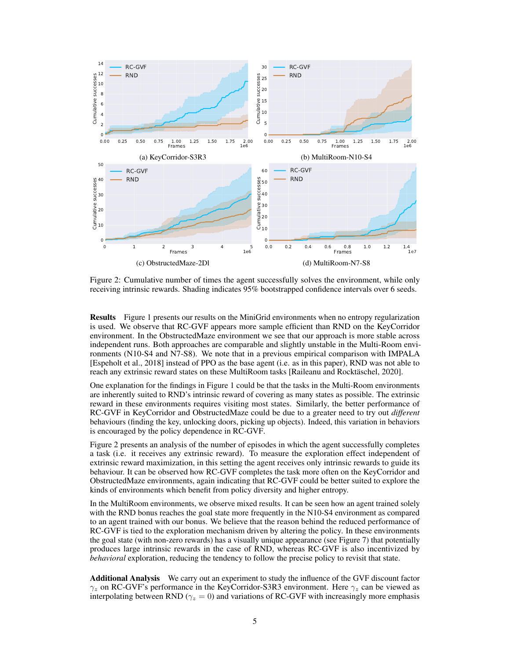<span id="page-4-0"></span>

Figure 2: Cumulative number of times the agent successfully solves the environment, while only receiving intrinsic rewards. Shading indicates 95% bootstrapped confidence intervals over 6 seeds.

Results [Figure 1](#page-3-0) presents our results on the MiniGrid environments when no entropy regularization is used. We observe that RC-GVF appears more sample efficient than RND on the KeyCorridor environment. In the ObstructedMaze environment we see that our approach is more stable across independent runs. Both approaches are comparable and slightly unstable in the Multi-Room environments (N10-S4 and N7-S8). We note that in a previous empirical comparison with IMPALA [\[Espeholt et al., 2018\]](#page-7-5) instead of PPO as the base agent (i.e. as in this paper), RND was not able to reach any extrinsic reward states on these MultiRoom tasks [\[Raileanu and Rocktäschel, 2020\]](#page-6-9).

One explanation for the findings in [Figure 1](#page-3-0) could be that the tasks in the Multi-Room environments are inherently suited to RND's intrinsic reward of covering as many states as possible. The extrinsic reward in these environments requires visiting most states. Similarly, the better performance of RC-GVF in KeyCorridor and ObstructedMaze could be due to a greater need to try out *different* behaviours (finding the key, unlocking doors, picking up objects). Indeed, this variation in behaviors is encouraged by the policy dependence in RC-GVF.

[Figure 2](#page-4-0) presents an analysis of the number of episodes in which the agent successfully completes a task (i.e. it receives any extrinsic reward). To measure the exploration effect independent of extrinsic reward maximization, in this setting the agent receives only intrinsic rewards to guide its behaviour. It can be observed how RC-GVF completes the task more often on the KeyCorridor and ObstructedMaze environments, again indicating that RC-GVF could be better suited to explore the kinds of environments which benefit from policy diversity and higher entropy.

In the MultiRoom environments, we observe mixed results. It can be seen how an agent trained solely with the RND bonus reaches the goal state more frequently in the N10-S4 environment as compared to an agent trained with our bonus. We believe that the reason behind the reduced performance of RC-GVF is tied to the exploration mechanism driven by altering the policy. In these environments the goal state (with non-zero rewards) has a visually unique appearance (see [Figure 7\)](#page--1-2) that potentially produces large intrinsic rewards in the case of RND, whereas RC-GVF is also incentivized by *behavioral* exploration, reducing the tendency to follow the precise policy to revisit that state.

Additional Analysis We carry out an experiment to study the influence of the GVF discount factor  $\gamma_z$  on RC-GVF's performance in the KeyCorridor-S3R3 environment. Here  $\gamma_z$  can be viewed as interpolating between RND ( $\gamma_z = 0$ ) and variations of RC-GVF with increasingly more emphasis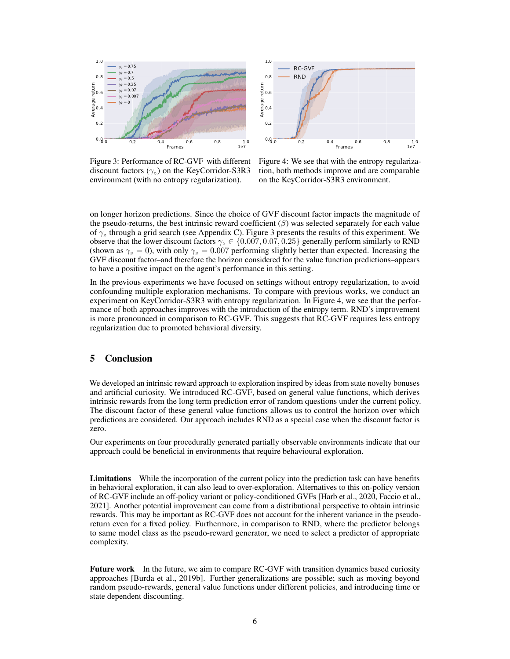<span id="page-5-0"></span>

Figure 3: Performance of RC-GVF with different discount factors  $(\gamma_z)$  on the KeyCorridor-S3R3 environment (with no entropy regularization).



Figure 4: We see that with the entropy regularization, both methods improve and are comparable on the KeyCorridor-S3R3 environment.

on longer horizon predictions. Since the choice of GVF discount factor impacts the magnitude of the pseudo-returns, the best intrinsic reward coefficient  $(\beta)$  was selected separately for each value of  $\gamma$ <sub>z</sub> through a grid search (see [Appendix C\)](#page--1-0). [Figure 3](#page-5-0) presents the results of this experiment. We observe that the lower discount factors  $\gamma_z \in \{0.007, 0.07, 0.25\}$  generally perform similarly to RND (shown as  $\gamma_z = 0$ ), with only  $\gamma_z = 0.007$  performing slightly better than expected. Increasing the GVF discount factor–and therefore the horizon considered for the value function predictions–appears to have a positive impact on the agent's performance in this setting.

In the previous experiments we have focused on settings without entropy regularization, to avoid confounding multiple exploration mechanisms. To compare with previous works, we conduct an experiment on KeyCorridor-S3R3 with entropy regularization. In [Figure 4,](#page-5-0) we see that the performance of both approaches improves with the introduction of the entropy term. RND's improvement is more pronounced in comparison to RC-GVF. This suggests that RC-GVF requires less entropy regularization due to promoted behavioral diversity.

# 5 Conclusion

We developed an intrinsic reward approach to exploration inspired by ideas from state novelty bonuses and artificial curiosity. We introduced RC-GVF, based on general value functions, which derives intrinsic rewards from the long term prediction error of random questions under the current policy. The discount factor of these general value functions allows us to control the horizon over which predictions are considered. Our approach includes RND as a special case when the discount factor is zero.

Our experiments on four procedurally generated partially observable environments indicate that our approach could be beneficial in environments that require behavioural exploration.

Limitations While the incorporation of the current policy into the prediction task can have benefits in behavioral exploration, it can also lead to over-exploration. Alternatives to this on-policy version of RC-GVF include an off-policy variant or policy-conditioned GVFs [\[Harb et al., 2020,](#page-7-6) [Faccio et al.,](#page-7-7) [2021\]](#page-7-7). Another potential improvement can come from a distributional perspective to obtain intrinsic rewards. This may be important as RC-GVF does not account for the inherent variance in the pseudoreturn even for a fixed policy. Furthermore, in comparison to RND, where the predictor belongs to same model class as the pseudo-reward generator, we need to select a predictor of appropriate complexity.

Future work In the future, we aim to compare RC-GVF with transition dynamics based curiosity approaches [\[Burda et al., 2019b\]](#page-7-8). Further generalizations are possible; such as moving beyond random pseudo-rewards, general value functions under different policies, and introducing time or state dependent discounting.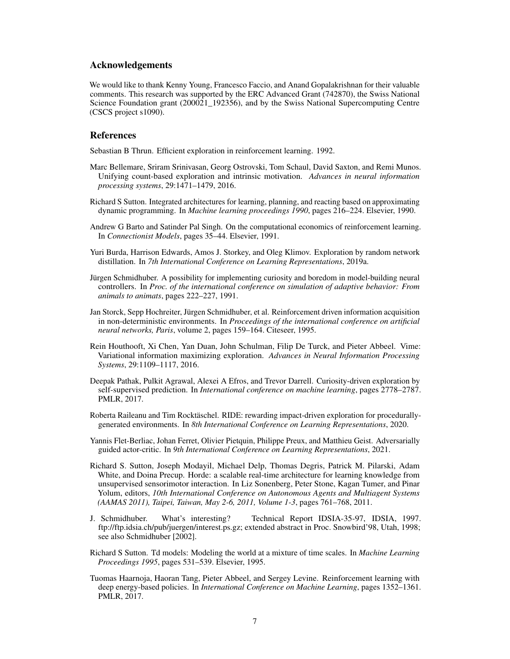# Acknowledgements

We would like to thank Kenny Young, Francesco Faccio, and Anand Gopalakrishnan for their valuable comments. This research was supported by the ERC Advanced Grant (742870), the Swiss National Science Foundation grant (200021 192356), and by the Swiss National Supercomputing Centre (CSCS project s1090).

# **References**

<span id="page-6-0"></span>Sebastian B Thrun. Efficient exploration in reinforcement learning. 1992.

- <span id="page-6-1"></span>Marc Bellemare, Sriram Srinivasan, Georg Ostrovski, Tom Schaul, David Saxton, and Remi Munos. Unifying count-based exploration and intrinsic motivation. *Advances in neural information processing systems*, 29:1471–1479, 2016.
- <span id="page-6-2"></span>Richard S Sutton. Integrated architectures for learning, planning, and reacting based on approximating dynamic programming. In *Machine learning proceedings 1990*, pages 216–224. Elsevier, 1990.
- <span id="page-6-3"></span>Andrew G Barto and Satinder Pal Singh. On the computational economics of reinforcement learning. In *Connectionist Models*, pages 35–44. Elsevier, 1991.
- <span id="page-6-4"></span>Yuri Burda, Harrison Edwards, Amos J. Storkey, and Oleg Klimov. Exploration by random network distillation. In *7th International Conference on Learning Representations*, 2019a.
- <span id="page-6-5"></span>Jürgen Schmidhuber. A possibility for implementing curiosity and boredom in model-building neural controllers. In *Proc. of the international conference on simulation of adaptive behavior: From animals to animats*, pages 222–227, 1991.
- <span id="page-6-6"></span>Jan Storck, Sepp Hochreiter, Jürgen Schmidhuber, et al. Reinforcement driven information acquisition in non-deterministic environments. In *Proceedings of the international conference on artificial neural networks, Paris*, volume 2, pages 159–164. Citeseer, 1995.
- <span id="page-6-7"></span>Rein Houthooft, Xi Chen, Yan Duan, John Schulman, Filip De Turck, and Pieter Abbeel. Vime: Variational information maximizing exploration. *Advances in Neural Information Processing Systems*, 29:1109–1117, 2016.
- <span id="page-6-8"></span>Deepak Pathak, Pulkit Agrawal, Alexei A Efros, and Trevor Darrell. Curiosity-driven exploration by self-supervised prediction. In *International conference on machine learning*, pages 2778–2787. PMLR, 2017.
- <span id="page-6-9"></span>Roberta Raileanu and Tim Rocktäschel. RIDE: rewarding impact-driven exploration for procedurallygenerated environments. In *8th International Conference on Learning Representations*, 2020.
- <span id="page-6-10"></span>Yannis Flet-Berliac, Johan Ferret, Olivier Pietquin, Philippe Preux, and Matthieu Geist. Adversarially guided actor-critic. In *9th International Conference on Learning Representations*, 2021.
- <span id="page-6-11"></span>Richard S. Sutton, Joseph Modayil, Michael Delp, Thomas Degris, Patrick M. Pilarski, Adam White, and Doina Precup. Horde: a scalable real-time architecture for learning knowledge from unsupervised sensorimotor interaction. In Liz Sonenberg, Peter Stone, Kagan Tumer, and Pinar Yolum, editors, *10th International Conference on Autonomous Agents and Multiagent Systems (AAMAS 2011), Taipei, Taiwan, May 2-6, 2011, Volume 1-3*, pages 761–768, 2011.
- <span id="page-6-12"></span>J. Schmidhuber. What's interesting? Technical Report IDSIA-35-97, IDSIA, 1997. ftp://ftp.idsia.ch/pub/juergen/interest.ps.gz; extended abstract in Proc. Snowbird'98, Utah, 1998; see also [Schmidhuber](#page-7-9) [\[2002\]](#page-7-9).
- <span id="page-6-13"></span>Richard S Sutton. Td models: Modeling the world at a mixture of time scales. In *Machine Learning Proceedings 1995*, pages 531–539. Elsevier, 1995.
- <span id="page-6-14"></span>Tuomas Haarnoja, Haoran Tang, Pieter Abbeel, and Sergey Levine. Reinforcement learning with deep energy-based policies. In *International Conference on Machine Learning*, pages 1352–1361. PMLR, 2017.